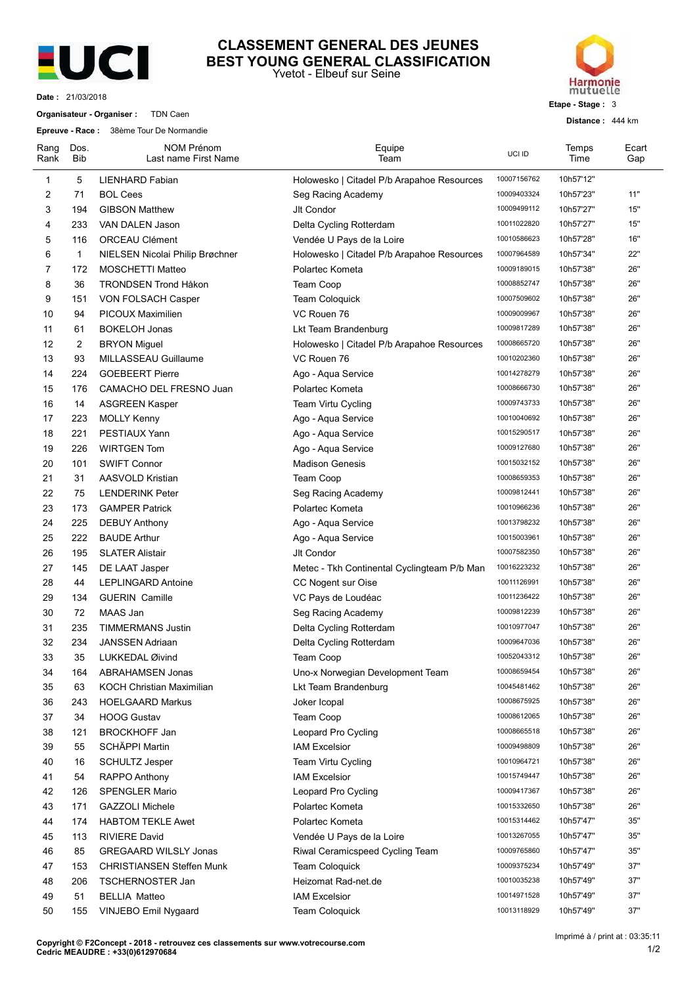

## VENT GENERAL DES JEUNES<br>
Vetot - Elbeuf sur Seine<br>
France : 444 km<br>
France : 444 km<br>
France : 444 km<br>
France : 444 km<br>
France : 444 km<br>
France : 444 km<br>
France : 444 km CLASSEMENT GENERAL DES JEUNES<br>EST YOUNG GENERAL CLASSIFICATION<br>Yvetot - Elbeuf sur Seine<br>Etape - Stage : 3<br>Distance : 444 km CLASSEMENT GENERAL DES JEUNES<br>BEST YOUNG GENERAL CLASSIFICATION<br>Yvetot - Elbeuf sur Seine<br>Bestage : 3<br>Distance : 444 km



|              | Date: 21/03/2018 | <b>EUCI</b>                                                                      | Yvetot - Elbeuf sur Seine                   | <b>BEST YOUNG GENERAL CLASSIFICATION</b><br><b>Harmonie</b><br>mutuelle<br>Etape - Stage: 3 |                                 |              |
|--------------|------------------|----------------------------------------------------------------------------------|---------------------------------------------|---------------------------------------------------------------------------------------------|---------------------------------|--------------|
|              |                  | Organisateur - Organiser : TDN Caen                                              |                                             | Distance: 444 km                                                                            |                                 |              |
|              |                  | Epreuve - Race: 38ème Tour De Normandie                                          |                                             |                                                                                             |                                 |              |
| Rang<br>Rank | Dos.<br>Bib      | <b>NOM Prénom</b><br>Last name First Name                                        | Equipe<br>Team                              | UCI ID                                                                                      | Temps<br>Time                   | Ecart<br>Gap |
| -1           | 5                | LIENHARD Fabian                                                                  | Holowesko   Citadel P/b Arapahoe Resources  | 10007156762                                                                                 | 10h57'12"                       |              |
| 2            | 71               | <b>BOL Cees</b>                                                                  | Seg Racing Academy                          | 10009403324                                                                                 | 10h57'23"                       | 11"          |
| 3            | 194              | <b>GIBSON Matthew</b>                                                            | Jlt Condor                                  | 10009499112                                                                                 | 10h57'27"                       | 15"          |
| 4            | 233              | VAN DALEN Jason                                                                  | Delta Cycling Rotterdam                     | 10011022820                                                                                 | 10h57'27"                       | 15"          |
| 5            | 116              | <b>ORCEAU Clément</b>                                                            | Vendée U Pays de la Loire                   | 10010586623                                                                                 | 10h57'28"                       | 16"          |
| 6            | -1               | NIELSEN Nicolai Philip Brøchner                                                  | Holowesko   Citadel P/b Arapahoe Resources  | 10007964589                                                                                 | 10h57'34"                       | 22"          |
| 7<br>8       | 172<br>36        | MOSCHETTI Matteo<br><b>TRONDSEN Trond Håkon</b>                                  | Polartec Kometa                             | 10009189015<br>10008852747                                                                  | 10h57'38"<br>10h57'38"          | 26"<br>26"   |
| 9            | 151              | VON FOLSACH Casper                                                               | Team Coop<br>Team Coloquick                 | 10007509602                                                                                 | 10h57'38"                       | 26"          |
| 10           | 94               | PICOUX Maximilien                                                                | VC Rouen 76                                 | 10009009967                                                                                 | 10h57'38"                       | 26"          |
| 11           | 61               | <b>BOKELOH Jonas</b>                                                             | Lkt Team Brandenburg                        | 10009817289                                                                                 | 10h57'38"                       | 26"          |
| 12           | $\overline{2}$   | <b>BRYON Miguel</b>                                                              | Holowesko   Citadel P/b Arapahoe Resources  | 10008665720                                                                                 | 10h57'38"                       | 26"          |
| 13           | 93               | MILLASSEAU Guillaume                                                             | VC Rouen 76                                 | 10010202360                                                                                 | 10h57'38"                       | 26"          |
| 14           | 224              | <b>GOEBEERT Pierre</b>                                                           | Ago - Aqua Service                          | 10014278279                                                                                 | 10h57'38"                       | 26"          |
| 15           | 176              | CAMACHO DEL FRESNO Juan                                                          | Polartec Kometa                             | 10008666730                                                                                 | 10h57'38"                       | 26"          |
| 16           | 14               | <b>ASGREEN Kasper</b>                                                            | Team Virtu Cycling                          | 10009743733                                                                                 | 10h57'38"                       | 26"          |
| 17<br>18     | 223<br>221       | <b>MOLLY Kenny</b><br>PESTIAUX Yann                                              | Ago - Aqua Service<br>Ago - Aqua Service    | 10010040692<br>10015290517                                                                  | 10h57'38"<br>10h57'38"          | 26"<br>26"   |
| 19           | 226              | <b>WIRTGEN Tom</b>                                                               | Ago - Aqua Service                          | 10009127680                                                                                 | 10h57'38"                       | 26"          |
| 20           | 101              | <b>SWIFT Connor</b>                                                              | <b>Madison Genesis</b>                      | 10015032152                                                                                 | 10h57'38"                       | 26"          |
| 21           | 31               | <b>AASVOLD Kristian</b>                                                          | Team Coop                                   | 10008659353                                                                                 | 10h57'38"                       | 26"          |
| 22           | 75               | <b>LENDERINK Peter</b>                                                           | Seg Racing Academy                          | 10009812441                                                                                 | 10h57'38"                       | 26"          |
| 23           | 173              | <b>GAMPER Patrick</b>                                                            | Polartec Kometa                             | 10010966236                                                                                 | 10h57'38"                       | 26"          |
| 24           | 225              | <b>DEBUY Anthony</b>                                                             | Ago - Aqua Service                          | 10013798232                                                                                 | 10h57'38"                       | 26"          |
| 25           | 222              | <b>BAUDE Arthur</b>                                                              | Ago - Aqua Service                          | 10015003961                                                                                 | 10h57'38"                       | 26"          |
| 26           | 195              | <b>SLATER Alistair</b>                                                           | Jlt Condor                                  | 10007582350                                                                                 | 10h57'38"                       | 26"          |
| 27           | 145              | DE LAAT Jasper                                                                   | Metec - Tkh Continental Cyclingteam P/b Man | 10016223232                                                                                 | 10h57'38"                       | 26"          |
| 28           | 44<br>134        | <b>LEPLINGARD Antoine</b>                                                        | CC Nogent sur Oise                          | 10011126991<br>10011236422                                                                  | 10h57'38"<br>10h57'38"          | 26"<br>26"   |
| 29<br>30     | 72               | <b>GUERIN Camille</b><br>MAAS Jan                                                | VC Pays de Loudéac<br>Seg Racing Academy    | 10009812239                                                                                 | 10h57'38"                       | 26"          |
| 31           | 235              | <b>TIMMERMANS Justin</b>                                                         | Delta Cycling Rotterdam                     | 10010977047                                                                                 | 10h57'38"                       | 26"          |
| 32           | 234              | <b>JANSSEN Adriaan</b>                                                           | Delta Cycling Rotterdam                     | 10009647036                                                                                 | 10h57'38"                       | 26"          |
| 33           | 35               | LUKKEDAL Øivind                                                                  | Team Coop                                   | 10052043312                                                                                 | 10h57'38"                       | 26"          |
| 34           | 164              | <b>ABRAHAMSEN Jonas</b>                                                          | Uno-x Norwegian Development Team            | 10008659454                                                                                 | 10h57'38"                       | 26"          |
| 35           | 63               | <b>KOCH Christian Maximilian</b>                                                 | Lkt Team Brandenburg                        | 10045481462                                                                                 | 10h57'38"                       | 26"          |
| 36           | 243              | <b>HOELGAARD Markus</b>                                                          | Joker Icopal                                | 10008675925                                                                                 | 10h57'38"                       | 26"          |
| 37           | 34               | <b>HOOG Gustav</b>                                                               | Team Coop                                   | 10008612065                                                                                 | 10h57'38"                       | 26"          |
| 38           | 121              | <b>BROCKHOFF Jan</b>                                                             | Leopard Pro Cycling                         | 10008665518                                                                                 | 10h57'38"                       | 26"          |
| 39           | 55               | SCHÄPPI Martin                                                                   | <b>IAM Excelsior</b>                        | 10009498809                                                                                 | 10h57'38"                       | 26"          |
| 40           | 16               | <b>SCHULTZ Jesper</b>                                                            | Team Virtu Cycling                          | 10010964721                                                                                 | 10h57'38"                       | 26"          |
| 41           | 54               | RAPPO Anthony                                                                    | <b>IAM Excelsior</b>                        | 10015749447                                                                                 | 10h57'38"                       | 26"          |
| 42           | 126              | <b>SPENGLER Mario</b>                                                            | Leopard Pro Cycling                         | 10009417367                                                                                 | 10h57'38"                       | 26"          |
| 43           | 171              | <b>GAZZOLI Michele</b>                                                           | Polartec Kometa                             | 10015332650                                                                                 | 10h57'38"                       | 26"          |
| 44           | 174              | <b>HABTOM TEKLE Awet</b>                                                         | Polartec Kometa                             | 10015314462                                                                                 | 10h57'47"                       | 35"          |
| 45           | 113              | <b>RIVIERE David</b>                                                             | Vendée U Pays de la Loire                   | 10013267055                                                                                 | 10h57'47"                       | 35"          |
| 46           | 85               | <b>GREGAARD WILSLY Jonas</b>                                                     | Riwal Ceramicspeed Cycling Team             | 10009765860                                                                                 | 10h57'47"                       | $35"$        |
| 47           | 153              | <b>CHRISTIANSEN Steffen Munk</b>                                                 | Team Coloquick                              | 10009375234                                                                                 | 10h57'49"                       | 37"          |
| 48           | 206              | TSCHERNOSTER Jan                                                                 | Heizomat Rad-net.de                         | 10010035238                                                                                 | 10h57'49"                       | 37"<br>37"   |
| 49<br>50     | 51<br>155        | <b>BELLIA Matteo</b>                                                             | <b>IAM Excelsior</b><br>Team Coloquick      | 10014971528<br>10013118929                                                                  | 10h57'49"<br>10h57'49"          | 37"          |
|              |                  | VINJEBO Emil Nygaard                                                             |                                             |                                                                                             |                                 |              |
|              |                  | Copyright © F2Concept - 2018 - retrouvez ces classements sur www.votrecourse.com |                                             |                                                                                             | Imprimé à / print at : 03:35:11 |              |